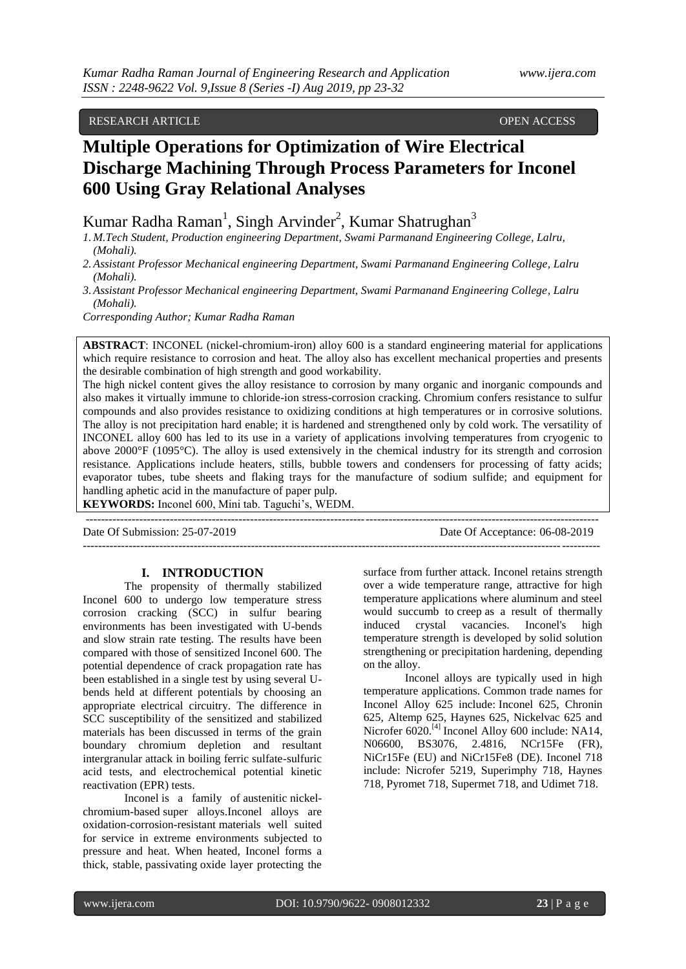# RESEARCH ARTICLE **CONTRACTES AND ACCESS** OPEN ACCESS OPEN ACCESS

# **Multiple Operations for Optimization of Wire Electrical Discharge Machining Through Process Parameters for Inconel 600 Using Gray Relational Analyses**

Kumar Radha Raman<sup>1</sup>, Singh Arvinder<sup>2</sup>, Kumar Shatrughan<sup>3</sup>

*1. M.Tech Student, Production engineering Department, Swami Parmanand Engineering College, Lalru, (Mohali).*

- *2.Assistant Professor Mechanical engineering Department, Swami Parmanand Engineering College, Lalru (Mohali).*
- *3.Assistant Professor Mechanical engineering Department, Swami Parmanand Engineering College, Lalru (Mohali).*

*Corresponding Author; Kumar Radha Raman*

**ABSTRACT**: INCONEL (nickel-chromium-iron) alloy 600 is a standard engineering material for applications which require resistance to corrosion and heat. The alloy also has excellent mechanical properties and presents the desirable combination of high strength and good workability.

The high nickel content gives the alloy resistance to corrosion by many organic and inorganic compounds and also makes it virtually immune to chloride-ion stress-corrosion cracking. Chromium confers resistance to sulfur compounds and also provides resistance to oxidizing conditions at high temperatures or in corrosive solutions. The alloy is not precipitation hard enable; it is hardened and strengthened only by cold work. The versatility of INCONEL alloy 600 has led to its use in a variety of applications involving temperatures from cryogenic to above 2000°F (1095°C). The alloy is used extensively in the chemical industry for its strength and corrosion resistance. Applications include heaters, stills, bubble towers and condensers for processing of fatty acids; evaporator tubes, tube sheets and flaking trays for the manufacture of sodium sulfide; and equipment for handling aphetic acid in the manufacture of paper pulp.

---------------------------------------------------------------------------------------------------------------------------------------

**KEYWORDS:** Inconel 600, Mini tab. Taguchi's, WEDM.

Date Of Submission: 25-07-2019 Date Of Acceptance: 06-08-2019

--------------------------------------------------------------------------------------------------------------------------------------

#### **I. INTRODUCTION**

The propensity of thermally stabilized Inconel 600 to undergo low temperature stress corrosion cracking (SCC) in sulfur bearing environments has been investigated with U-bends and slow strain rate testing. The results have been compared with those of sensitized Inconel 600. The potential dependence of crack propagation rate has been established in a single test by using several Ubends held at different potentials by choosing an appropriate electrical circuitry. The difference in SCC susceptibility of the sensitized and stabilized materials has been discussed in terms of the grain boundary chromium depletion and resultant intergranular attack in boiling ferric sulfate-sulfuric acid tests, and electrochemical potential kinetic reactivation (EPR) tests.

Inconel is a family of [austenitic](https://en.wikipedia.org/wiki/Austenitic) [nickel](https://en.wikipedia.org/wiki/Nickel)[chromium-](https://en.wikipedia.org/wiki/Chromium)based super [alloys.](https://en.wikipedia.org/wiki/Superalloy)Inconel alloys are oxidation[-corrosion-resistant](https://en.wikipedia.org/wiki/Corrosion_resistance) materials well suited for service in extreme environments subjected to pressure and heat. When heated, Inconel forms a thick, stable, [passivating](https://en.wikipedia.org/wiki/Passivation_(chemistry)) oxide layer protecting the surface from further attack. Inconel retains strength over a wide temperature range, attractive for high temperature applications where aluminum and steel would succumb to [creep](https://en.wikipedia.org/wiki/Creep_(deformation)) as a result of thermally induced crystal vacancies. Inconel's high temperature strength is developed by [solid solution](https://en.wikipedia.org/wiki/Solid_solution_strengthening)  [strengthening](https://en.wikipedia.org/wiki/Solid_solution_strengthening) or [precipitation hardening,](https://en.wikipedia.org/wiki/Precipitation_hardening) depending on the alloy.

Inconel alloys are typically used in high temperature applications. Common trade names for Inconel Alloy 625 include: [Inconel 625,](https://en.wikipedia.org/wiki/Inconel_625) Chronin 625, Altemp 625, Haynes 625, Nickelvac 625 and Nicrofer 6020.<sup>[\[4\]](https://en.wikipedia.org/wiki/Inconel#cite_note-4)</sup> Inconel Alloy 600 include: NA14, N06600, BS3076, 2.4816, NCr15Fe (FR), NiCr15Fe (EU) and NiCr15Fe8 (DE). Inconel 718 include: Nicrofer 5219, Superimphy 718, Haynes 718, Pyromet 718, Supermet 718, and Udimet 718.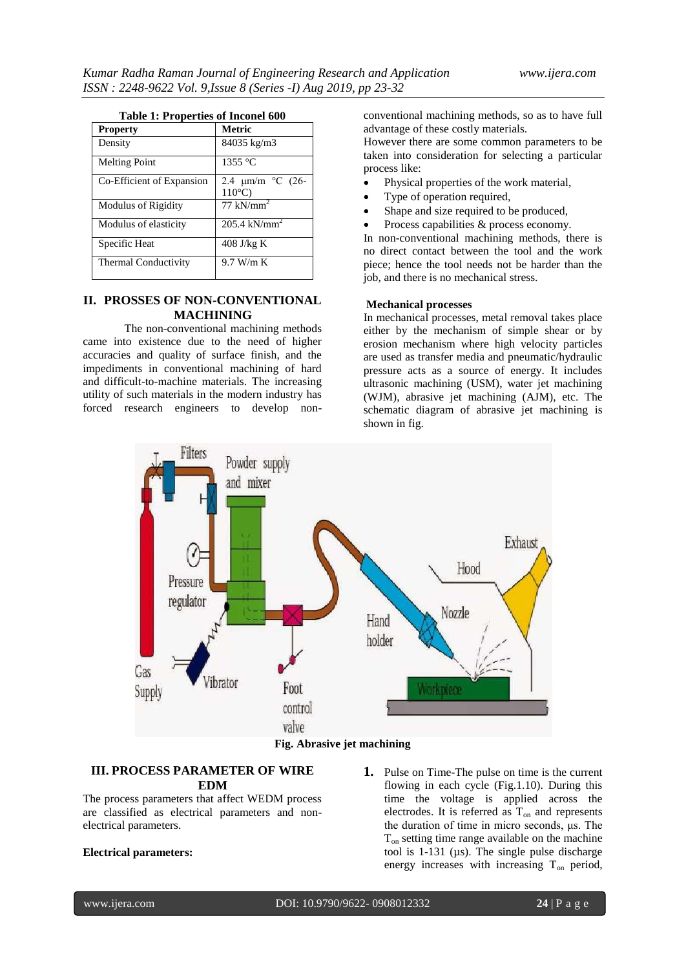#### **Table 1: Properties of Inconel 600**

| <b>Property</b>           | Metric                                    |
|---------------------------|-------------------------------------------|
| Density                   | 84035 kg/m3                               |
| <b>Melting Point</b>      | $1355^{\circ}$ C                          |
| Co-Efficient of Expansion | 2.4 $\mu$ m/m °C (26-<br>$110^{\circ}$ C) |
| Modulus of Rigidity       | $77 \text{ kN/mm}^2$                      |
| Modulus of elasticity     | $205.4 \text{ kN/mm}^2$                   |
| Specific Heat             | $408$ J/kg K                              |
| Thermal Conductivity      | $9.7$ W/m K                               |

## **II. PROSSES OF NON-CONVENTIONAL MACHINING**

The non-conventional machining methods came into existence due to the need of higher accuracies and quality of surface finish, and the impediments in conventional machining of hard and difficult-to-machine materials. The increasing utility of such materials in the modern industry has forced research engineers to develop nonconventional machining methods, so as to have full advantage of these costly materials.

However there are some common parameters to be taken into consideration for selecting a particular process like:

- Physical properties of the work material,
- Type of operation required,
- Shape and size required to be produced,
- Process capabilities & process economy.

In non-conventional machining methods, there is no direct contact between the tool and the work piece; hence the tool needs not be harder than the job, and there is no mechanical stress.

#### **Mechanical processes**

In mechanical processes, metal removal takes place either by the mechanism of simple shear or by erosion mechanism where high velocity particles are used as transfer media and pneumatic/hydraulic pressure acts as a source of energy. It includes ultrasonic machining (USM), water jet machining (WJM), abrasive jet machining (AJM), etc. The schematic diagram of abrasive jet machining is shown in fig.



# **III. PROCESS PARAMETER OF WIRE EDM**

The process parameters that affect WEDM process are classified as electrical parameters and nonelectrical parameters.

#### **Electrical parameters:**

**1.** Pulse on Time-The pulse on time is the current flowing in each cycle (Fig.1.10). During this time the voltage is applied across the electrodes. It is referred as  $T_{on}$  and represents the duration of time in micro seconds, μs. The  $T_{\text{on}}$  setting time range available on the machine tool is  $1-131$  ( $\mu s$ ). The single pulse discharge energy increases with increasing  $T_{on}$  period,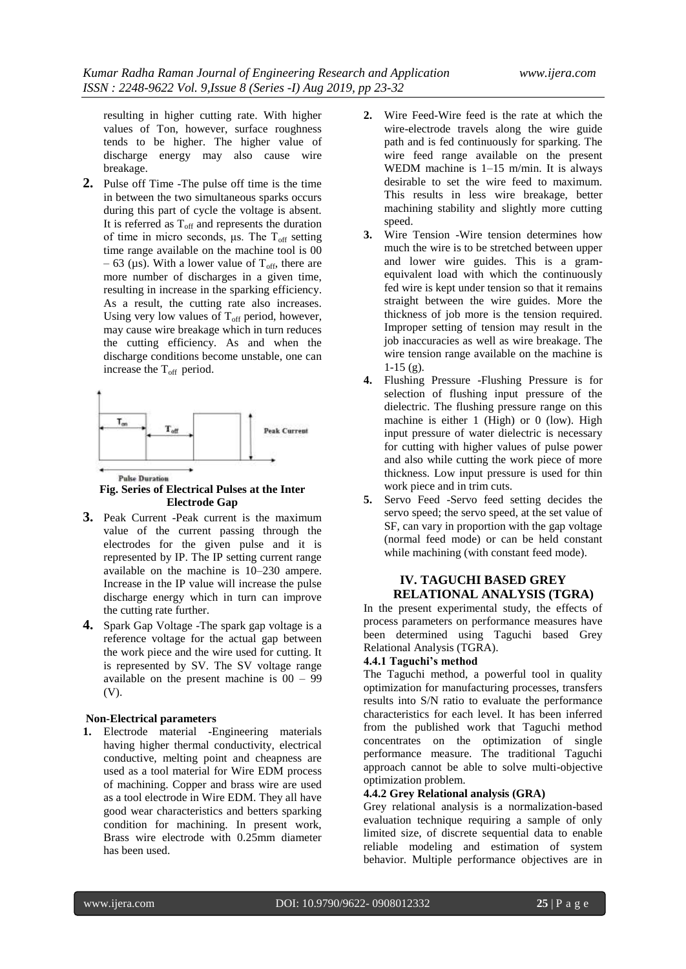resulting in higher cutting rate. With higher values of Ton, however, surface roughness tends to be higher. The higher value of discharge energy may also cause wire breakage.

**2.** Pulse off Time -The pulse off time is the time in between the two simultaneous sparks occurs during this part of cycle the voltage is absent. It is referred as  $T_{\text{off}}$  and represents the duration of time in micro seconds, μs. The  $T_{\text{off}}$  setting time range available on the machine tool is 00 – 63 ( $\mu$ s). With a lower value of T<sub>off</sub>, there are more number of discharges in a given time, resulting in increase in the sparking efficiency. As a result, the cutting rate also increases. Using very low values of  $T_{\text{off}}$  period, however, may cause wire breakage which in turn reduces the cutting efficiency. As and when the discharge conditions become unstable, one can increase the  $T_{\text{off}}$  period.



#### **Pulse Duration Fig. Series of Electrical Pulses at the Inter Electrode Gap**

- **3.** Peak Current -Peak current is the maximum value of the current passing through the electrodes for the given pulse and it is represented by IP. The IP setting current range available on the machine is 10–230 ampere. Increase in the IP value will increase the pulse discharge energy which in turn can improve the cutting rate further.
- **4.** Spark Gap Voltage -The spark gap voltage is a reference voltage for the actual gap between the work piece and the wire used for cutting. It is represented by SV. The SV voltage range available on the present machine is 00 – 99 (V).

#### **Non-Electrical parameters**

**1.** Electrode material -Engineering materials having higher thermal conductivity, electrical conductive, melting point and cheapness are used as a tool material for Wire EDM process of machining. Copper and brass wire are used as a tool electrode in Wire EDM. They all have good wear characteristics and betters sparking condition for machining. In present work, Brass wire electrode with 0.25mm diameter has been used.

- **2.** Wire Feed-Wire feed is the rate at which the wire-electrode travels along the wire guide path and is fed continuously for sparking. The wire feed range available on the present WEDM machine is 1–15 m/min. It is always desirable to set the wire feed to maximum. This results in less wire breakage, better machining stability and slightly more cutting speed.
- **3.** Wire Tension -Wire tension determines how much the wire is to be stretched between upper and lower wire guides. This is a gramequivalent load with which the continuously fed wire is kept under tension so that it remains straight between the wire guides. More the thickness of job more is the tension required. Improper setting of tension may result in the job inaccuracies as well as wire breakage. The wire tension range available on the machine is  $1-15$  (g).
- **4.** Flushing Pressure -Flushing Pressure is for selection of flushing input pressure of the dielectric. The flushing pressure range on this machine is either 1 (High) or 0 (low). High input pressure of water dielectric is necessary for cutting with higher values of pulse power and also while cutting the work piece of more thickness. Low input pressure is used for thin work piece and in trim cuts.
- **5.** Servo Feed -Servo feed setting decides the servo speed; the servo speed, at the set value of SF, can vary in proportion with the gap voltage (normal feed mode) or can be held constant while machining (with constant feed mode).

# **IV. TAGUCHI BASED GREY RELATIONAL ANALYSIS (TGRA)**

In the present experimental study, the effects of process parameters on performance measures have been determined using Taguchi based Grey Relational Analysis (TGRA).

# **4.4.1 Taguchi's method**

The Taguchi method, a powerful tool in quality optimization for manufacturing processes, transfers results into S/N ratio to evaluate the performance characteristics for each level. It has been inferred from the published work that Taguchi method concentrates on the optimization of single performance measure. The traditional Taguchi approach cannot be able to solve multi-objective optimization problem.

## **4.4.2 Grey Relational analysis (GRA)**

Grey relational analysis is a normalization-based evaluation technique requiring a sample of only limited size, of discrete sequential data to enable reliable modeling and estimation of system behavior. Multiple performance objectives are in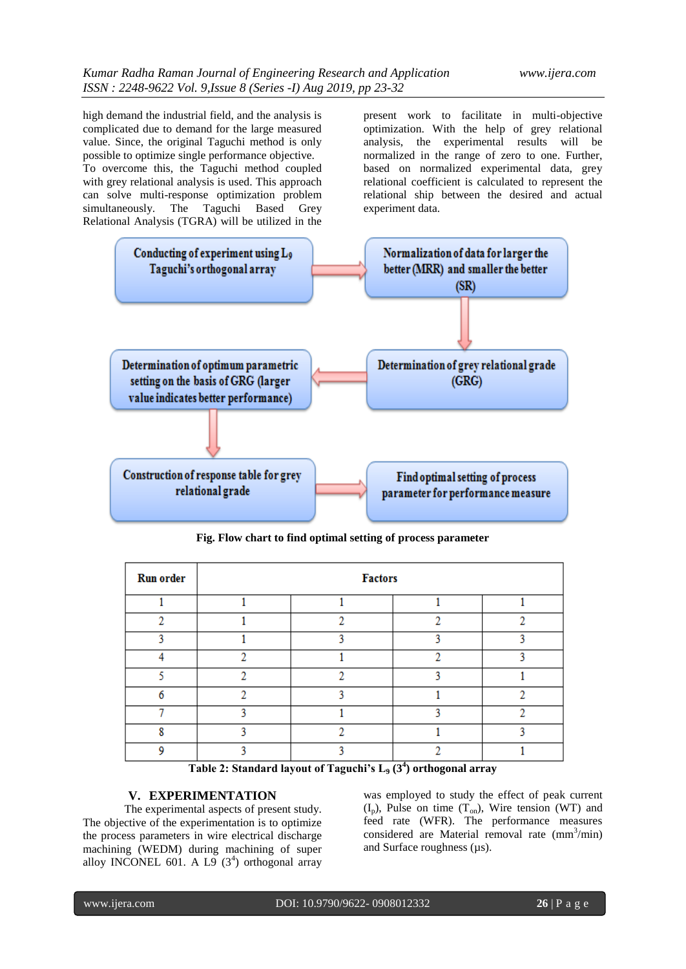high demand the industrial field, and the analysis is complicated due to demand for the large measured value. Since, the original Taguchi method is only possible to optimize single performance objective. To overcome this, the Taguchi method coupled with grey relational analysis is used. This approach can solve multi-response optimization problem simultaneously. The Taguchi Based Grey Relational Analysis (TGRA) will be utilized in the present work to facilitate in multi-objective optimization. With the help of grey relational analysis, the experimental results will be normalized in the range of zero to one. Further, based on normalized experimental data, grey relational coefficient is calculated to represent the relational ship between the desired and actual experiment data.



**Fig. Flow chart to find optimal setting of process parameter**

| <b>Run order</b> | <b>Factors</b> |   |   |   |  |  |  |  |
|------------------|----------------|---|---|---|--|--|--|--|
|                  |                |   |   |   |  |  |  |  |
| o                |                |   |   |   |  |  |  |  |
|                  |                |   |   |   |  |  |  |  |
|                  | o              |   | o | ٥ |  |  |  |  |
|                  | o              | o |   |   |  |  |  |  |
|                  | o              |   |   |   |  |  |  |  |
|                  |                |   |   |   |  |  |  |  |
|                  |                |   |   |   |  |  |  |  |
|                  |                |   |   |   |  |  |  |  |

**Table 2: Standard layout of Taguchi's L<sup>9</sup> (3<sup>4</sup> ) orthogonal array**

# **V. EXPERIMENTATION**

The experimental aspects of present study. The objective of the experimentation is to optimize the process parameters in wire electrical discharge machining (WEDM) during machining of super alloy INCONEL 601. A L9  $(3^4)$  orthogonal array was employed to study the effect of peak current  $(I_p)$ , Pulse on time  $(T_{on})$ , Wire tension (WT) and feed rate (WFR). The performance measures considered are Material removal rate (mm<sup>3</sup>/min) and Surface roughness ( $\mu$ s).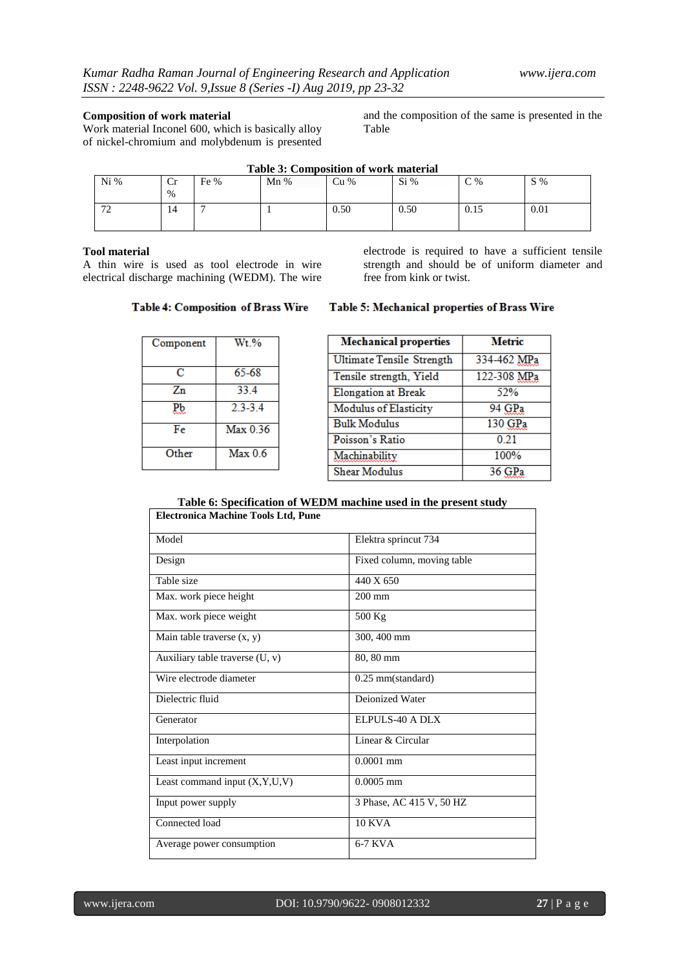#### **Composition of work material**

Work material Inconel 600, which is basically alloy of nickel-chromium and molybdenum is presented and the composition of the same is presented in the Table

| $Ni\%$            | ⌒<br><b>Cr</b><br>% | Fe % | Mn% | Cu%  | Si%  | C%   | $S\%$ |
|-------------------|---------------------|------|-----|------|------|------|-------|
| $\mathbf{a}$<br>∸ | 14                  |      |     | 0.50 | 0.50 | 0.15 | 0.01  |

#### **Table 3: Composition of work material**

#### **Tool material**

A thin wire is used as tool electrode in wire electrical discharge machining (WEDM). The wire electrode is required to have a sufficient tensile strength and should be of uniform diameter and free from kink or twist.

## **Table 4: Composition of Brass Wire**

| Component | W <sub>t</sub> % |
|-----------|------------------|
| с         | 65-68            |
| Zn        | 33.4             |
| РЪ        | $2.3 - 3.4$      |
| Fe        | Max 0.36         |
| Other     | Max 0.6          |

#### Table 5: Mechanical properties of Brass Wire

| <b>Mechanical properties</b>     | <b>Metric</b> |
|----------------------------------|---------------|
| <b>Ultimate Tensile Strength</b> | 334-462 MPa   |
| Tensile strength, Yield          | 122-308 MPa   |
| <b>Elongation</b> at Break       | 52%           |
| <b>Modulus of Elasticity</b>     | 94 GPa        |
| <b>Bulk Modulus</b>              | 130 GPa       |
| Poisson's Ratio                  | 0.21          |
| Machinability                    | 100%          |
| Shear Modulus                    | 36.           |

#### **Table 6: Specification of WEDM machine used in the present study Electronica Machine Tools Ltd, Pune**

| и описа гласнице т общ пта, т     |                            |
|-----------------------------------|----------------------------|
| Model                             | Elektra sprincut 734       |
| Design                            | Fixed column, moving table |
| Table size                        | 440 X 650                  |
| Max. work piece height            | $200 \text{ mm}$           |
| Max. work piece weight            | 500 Kg                     |
| Main table traverse (x, y)        | 300, 400 mm                |
| Auxiliary table traverse $(U, v)$ | 80, 80 mm                  |
| Wire electrode diameter           | $0.25$ mm(standard)        |
| Dielectric fluid                  | Deionized Water            |
| Generator                         | ELPULS-40 A DLX            |
| Interpolation                     | Linear & Circular          |
| Least input increment             | $0.0001$ mm                |
| Least command input (X,Y,U,V)     | $0.0005$ mm                |
| Input power supply                | 3 Phase, AC 415 V, 50 HZ   |
| Connected load                    | <b>10 KVA</b>              |
| Average power consumption         | 6-7 KVA                    |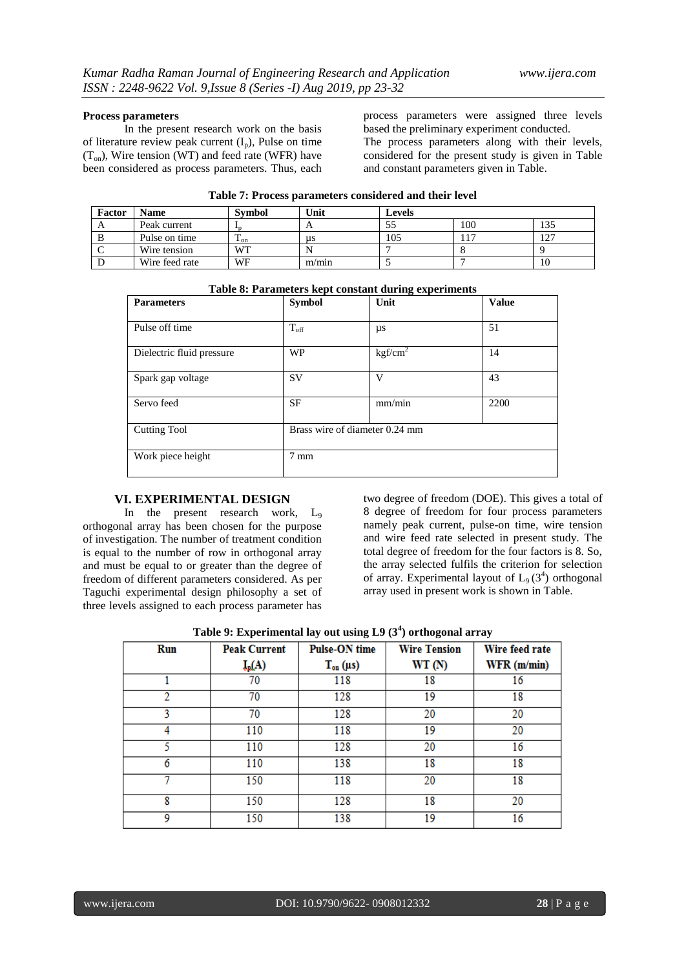#### **Process parameters**

In the present research work on the basis of literature review peak current  $(I_n)$ , Pulse on time  $(T_{on})$ , Wire tension (WT) and feed rate (WFR) have been considered as process parameters. Thus, each process parameters were assigned three levels based the preliminary experiment conducted.

The process parameters along with their levels, considered for the present study is given in Table and constant parameters given in Table.

| Table 77 I Foccss parameters considered and their fever |                |                          |       |               |     |     |  |
|---------------------------------------------------------|----------------|--------------------------|-------|---------------|-----|-----|--|
| Factor                                                  | <b>Name</b>    | <b>Symbol</b>            | Unit  | <b>Levels</b> |     |     |  |
| $\Delta$                                                | Peak current   |                          | A     | 55            | 100 | 135 |  |
| B                                                       | Pulse on time  | $\mathbf{1}_{\text{on}}$ | us    | 105           |     | 127 |  |
|                                                         | Wire tension   | WТ                       |       |               |     |     |  |
|                                                         | Wire feed rate | WF                       | m/min |               |     | 10  |  |

| Table 7: Process parameters considered and their level |  |  |
|--------------------------------------------------------|--|--|
|--------------------------------------------------------|--|--|

|                           | Table 0. I alameters kept constant during experiments |                                |              |  |  |  |
|---------------------------|-------------------------------------------------------|--------------------------------|--------------|--|--|--|
| <b>Parameters</b>         | <b>Symbol</b>                                         | Unit                           | <b>Value</b> |  |  |  |
| Pulse off time            | $T_{\rm off}$                                         | μs                             | 51           |  |  |  |
| Dielectric fluid pressure | <b>WP</b>                                             | kgf/cm <sup>2</sup>            | 14           |  |  |  |
| Spark gap voltage         | <b>SV</b>                                             | V                              | 43           |  |  |  |
| Servo feed                | SF                                                    | mm/min                         | 2200         |  |  |  |
| <b>Cutting Tool</b>       |                                                       | Brass wire of diameter 0.24 mm |              |  |  |  |
| Work piece height         | $7 \text{ mm}$                                        |                                |              |  |  |  |

**Table 8: Parameters kept constant during experiments**

#### **VI. EXPERIMENTAL DESIGN**

In the present research work, L<sub>9</sub> orthogonal array has been chosen for the purpose of investigation. The number of treatment condition is equal to the number of row in orthogonal array and must be equal to or greater than the degree of freedom of different parameters considered. As per Taguchi experimental design philosophy a set of three levels assigned to each process parameter has

two degree of freedom (DOE). This gives a total of 8 degree of freedom for four process parameters namely peak current, pulse-on time, wire tension and wire feed rate selected in present study. The total degree of freedom for the four factors is 8. So, the array selected fulfils the criterion for selection of array. Experimental layout of  $L_9$  (3<sup>4</sup>) orthogonal array used in present work is shown in Table.

| Table 9: Experimental lay out using $L9(3^4)$ orthogonal array |
|----------------------------------------------------------------|
|----------------------------------------------------------------|

| Run | <b>Peak Current</b> | <b>Pulse-ON</b> time | <b>Wire Tension</b> | Wire feed rate |
|-----|---------------------|----------------------|---------------------|----------------|
|     | $I_p(A)$            | $T_{on}(\mu s)$      | WT(N)               | WFR (m/min)    |
|     | 70                  | 118                  | 18                  | 16             |
| 2   | 70                  | 128                  | 19                  | 18             |
| 3   | 70                  | 128                  | 20                  | 20             |
| 4   | 110                 | 118                  | 19                  | 20             |
|     | 110                 | 128                  | 20                  | 16             |
|     | 110                 | 138                  | 18                  | 18             |
|     | 150                 | 118                  | 20                  | 18             |
| 8   | 150                 | 128                  | 18                  | 20             |
| 9   | 150                 | 138                  | 19                  | 16             |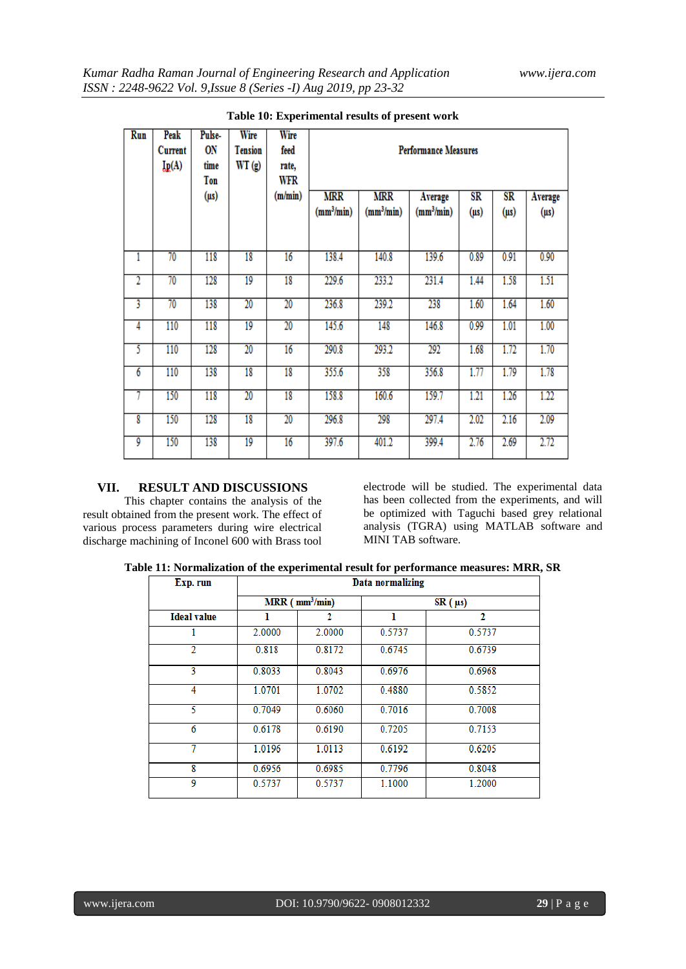| Run                     | Peak<br>Current<br>Lp(A) | Pulse-<br>ON<br>time<br>Ton<br>$(\mu s)$ | Wire<br><b>Tension</b><br>WT(g) | Wire<br>feed<br>rate,<br>WFR<br>(m/min) | <b>MRR</b><br>(mm <sup>3</sup> /min) | <b>MRR</b><br>(mm <sup>3</sup> /min) | <b>Performance Measures</b><br>Average<br>(mm <sup>3</sup> /min) | $_{SR}$<br>$($ µs $)$ | $_{\rm SR}$<br>$(\mu s)$ | Average<br>$(\mu s)$ |
|-------------------------|--------------------------|------------------------------------------|---------------------------------|-----------------------------------------|--------------------------------------|--------------------------------------|------------------------------------------------------------------|-----------------------|--------------------------|----------------------|
| 1                       | 70                       | 118                                      | 18                              | 16                                      | 138.4                                | 140.8                                | 139.6                                                            | 0.89                  | 0.91                     | 0.90                 |
| $\overline{\mathbf{2}}$ | 70                       | 128                                      | $\overline{19}$                 | 18                                      | 229.6                                | 233.2                                | 231.4                                                            | 1.44                  | 1.58                     | 1.51                 |
| 3                       | 70                       | 138                                      | 20                              | $\overline{20}$                         | 236.8                                | 239.2                                | 238                                                              | 1.60                  | 1.64                     | 1.60                 |
| $\overline{4}$          | 110                      | 118                                      | 19                              | $\overline{20}$                         | 145.6                                | 148                                  | 146.8                                                            | 0.99                  | 1.01                     | 1.00                 |
| 5                       | 110                      | 128                                      | 20                              | 16                                      | 290.8                                | 293.2                                | 292                                                              | 1.68                  | 1.72                     | 1.70                 |
| $\overline{6}$          | 110                      | 138                                      | 18                              | 18                                      | 355.6                                | 358                                  | 356.8                                                            | 1.77                  | 1.79                     | 1.78                 |
| 7                       | 150                      | 118                                      | $\overline{20}$                 | 18                                      | 158.8                                | 160.6                                | 159.7                                                            | 1.21                  | 1.26                     | 1.22                 |
| 8                       | 150                      | 128                                      | 18                              | $\overline{20}$                         | 296.8                                | 298                                  | 297.4                                                            | 2.02                  | 2.16                     | 2.09                 |
| 9                       | 150                      | 138                                      | 19                              | 16                                      | 397.6                                | 401.2                                | 399.4                                                            | 2.76                  | 2.69                     | 2.72                 |

**Table 10: Experimental results of present work**

## **VII. RESULT AND DISCUSSIONS**

This chapter contains the analysis of the result obtained from the present work. The effect of various process parameters during wire electrical discharge machining of Inconel 600 with Brass tool electrode will be studied. The experimental data has been collected from the experiments, and will be optimized with Taguchi based grey relational analysis (TGRA) using MATLAB software and MINI TAB software.

**Table 11: Normalization of the experimental result for performance measures: MRR, SR**

| Exp. run           | Data normalizing |                      |        |              |  |  |
|--------------------|------------------|----------------------|--------|--------------|--|--|
|                    |                  | $MRR$ ( $mm^3/min$ ) |        | $SR (\mu s)$ |  |  |
| <b>Ideal value</b> | ı                | 2                    | ı      | 2            |  |  |
|                    | 2.0000           | 2.0000               | 0.5737 | 0.5737       |  |  |
| 2                  | 0.818            | 0.8172               | 0.6745 | 0.6739       |  |  |
| 3                  | 0.8033           | 0.8043               | 0.6976 | 0.6968       |  |  |
| 4                  | 1.0701           | 1.0702               | 0.4880 | 0.5852       |  |  |
| 5                  | 0.7049           | 0.6060               | 0.7016 | 0.7008       |  |  |
| 6                  | 0.6178           | 0.6190               | 0.7205 | 0.7153       |  |  |
| 7                  | 1.0196           | 1.0113               | 0.6192 | 0.6205       |  |  |
| 8                  | 0.6956           | 0.6985               | 0.7796 | 0.8048       |  |  |
| 9                  | 0.5737           | 0.5737               | 1.1000 | 1.2000       |  |  |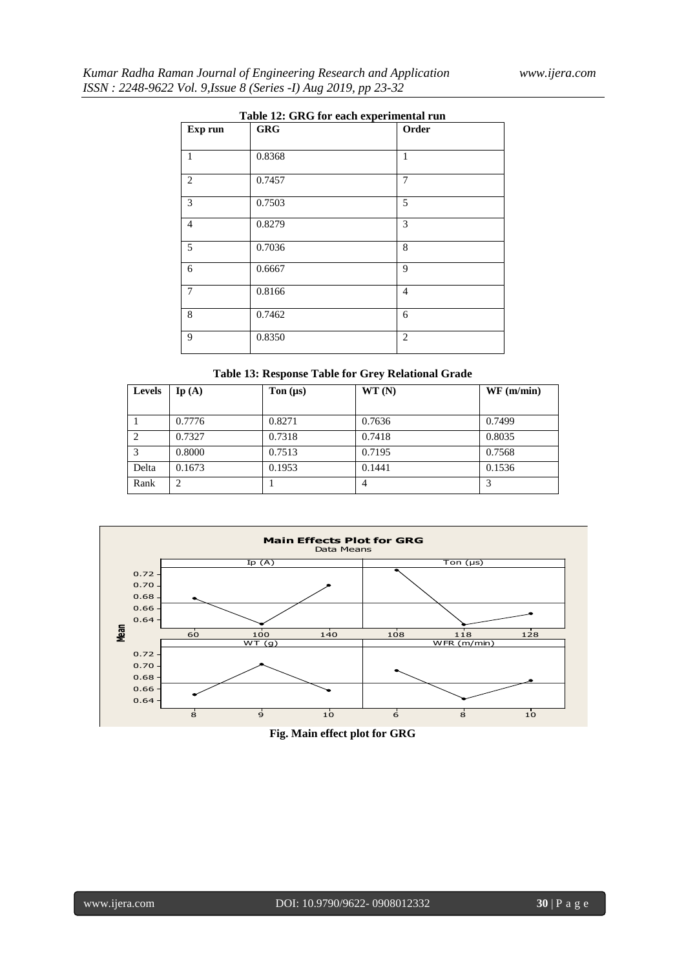| Table 12: GRG for each experimental run |            |                |  |  |  |
|-----------------------------------------|------------|----------------|--|--|--|
| Exp run                                 | <b>GRG</b> | Order          |  |  |  |
|                                         |            |                |  |  |  |
| 1                                       | 0.8368     | 1              |  |  |  |
| $\overline{2}$                          | 0.7457     | 7              |  |  |  |
| 3                                       | 0.7503     | 5              |  |  |  |
| $\overline{4}$                          | 0.8279     | 3              |  |  |  |
| 5                                       | 0.7036     | 8              |  |  |  |
| 6                                       | 0.6667     | 9              |  |  |  |
| $\overline{7}$                          | 0.8166     | $\overline{4}$ |  |  |  |
| $\,8\,$                                 | 0.7462     | 6              |  |  |  |
| 9                                       | 0.8350     | $\overline{2}$ |  |  |  |

## **Table 12: GRG for each experimental run**

## **Table 13: Response Table for Grey Relational Grade**

| <b>Levels</b> | $\mathbf{I}\mathbf{p}\left( \mathbf{A}\right)$ | Ton $(\mu s)$ | WT(N)  | WF(m/min) |
|---------------|------------------------------------------------|---------------|--------|-----------|
|               |                                                |               |        |           |
|               | 0.7776                                         | 0.8271        | 0.7636 | 0.7499    |
| 2             | 0.7327                                         | 0.7318        | 0.7418 | 0.8035    |
| 3             | 0.8000                                         | 0.7513        | 0.7195 | 0.7568    |
| Delta         | 0.1673                                         | 0.1953        | 0.1441 | 0.1536    |
| Rank          | っ                                              |               |        | 3         |



# **Fig. Main effect plot for GRG**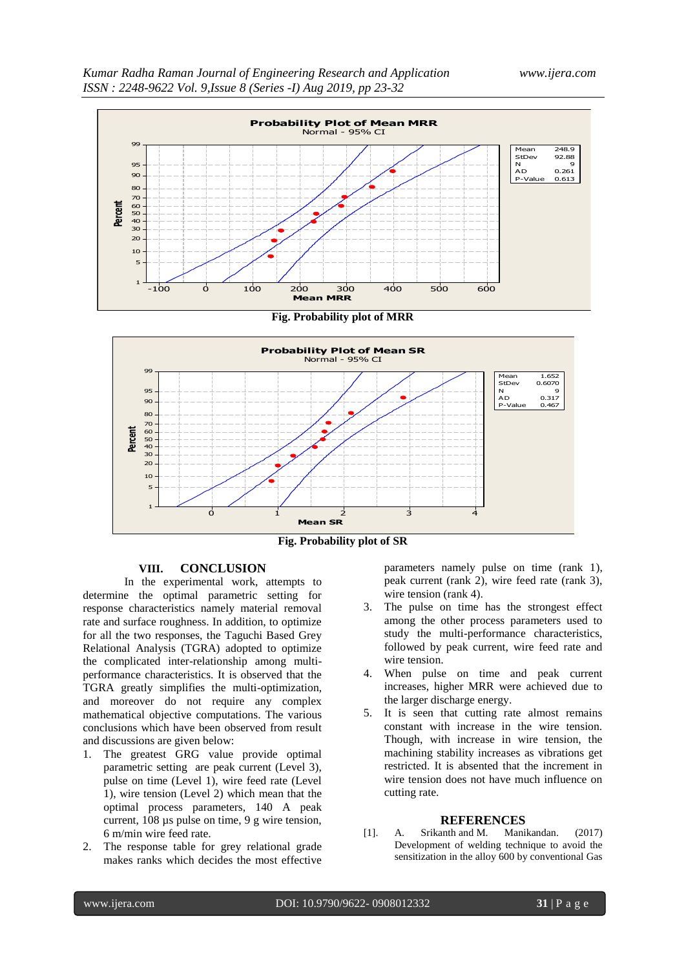

**Fig. Probability plot of MRR**



**Fig. Probability plot of SR**

#### **VIII. CONCLUSION**

In the experimental work, attempts to determine the optimal parametric setting for response characteristics namely material removal rate and surface roughness. In addition, to optimize for all the two responses, the Taguchi Based Grey Relational Analysis (TGRA) adopted to optimize the complicated inter-relationship among multiperformance characteristics. It is observed that the TGRA greatly simplifies the multi-optimization, and moreover do not require any complex mathematical objective computations. The various conclusions which have been observed from result and discussions are given below:

- 1. The greatest GRG value provide optimal parametric setting are peak current (Level 3), pulse on time (Level 1), wire feed rate (Level 1), wire tension (Level 2) which mean that the optimal process parameters, 140 A peak current, 108 µs pulse on time, 9 g wire tension, 6 m/min wire feed rate.
- 2. The response table for grey relational grade makes ranks which decides the most effective

parameters namely pulse on time (rank 1), peak current (rank 2), wire feed rate (rank 3), wire tension (rank 4).

- 3. The pulse on time has the strongest effect among the other process parameters used to study the multi-performance characteristics, followed by peak current, wire feed rate and wire tension.
- 4. When pulse on time and peak current increases, higher MRR were achieved due to the larger discharge energy.
- 5. It is seen that cutting rate almost remains constant with increase in the wire tension. Though, with increase in wire tension, the machining stability increases as vibrations get restricted. It is absented that the increment in wire tension does not have much influence on cutting rate.

#### **REFERENCES**

[1]. A. Srikanth and M. Manikandan. (2017) Development of welding technique to avoid the sensitization in the alloy 600 by conventional Gas